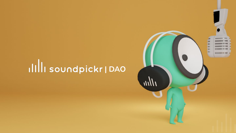# IIIII soundpickr | DAO

183 E m m

**BOOK ISSUED AT 1999**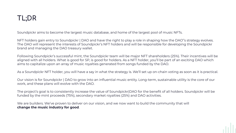# **TL;DR**

Soundpickr aims to become the largest music database, and home of the largest pool of music NFTs.

NFT holders gain entry to Soundpickr | DAO and have the right to play a role in shaping how the DAO"s strategy evolves. The DAO will represent the interests of Soundpickr's NFT holders and will be responsible for developing the Soundpickr brand and managing the DAO treasury wallet.

Following Soundpickr's successful mint, the Soundpickr team will be major NFT shareholders (25%). Their incentives will be aligned with all holders. What is good for SP, is good for holders. As a NFT holder, you'll be part of an exciting DAO which aims to capitalize upon an array of music royalties generated from songs funded by the DAO.

As a Soundpickr NFT holder, you will have a say in what the strategy is. We'll set up on-chain voting as soon as it is practical.

Our vision is for Soundpickr | DAO to grow into an influential music entity. Long-term, sustainable utility is the core of our work, and these plans will evolve with the DAO.

The project's goal is to consistently increase the value of Soundpickr|DAO for the benefit of all holders. Soundpickr will be funded by the mint proceeds (75%), secondary market royalties (25%) and DAO activities.

We are builders. We've proven to deliver on our vision, and we now want to build the community that will **change the music industry for good**.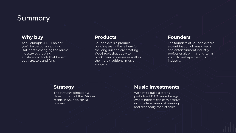# **Summary**

### **Why buy**

As a Soundpickr NFT holder, you'll be part of an exciting DAO that's changing the music industry by creating artist-centric tools that benefit both creators and fans

### **Products**

Soundpickr is a product building team. We're here for the long run and are creating Web3 tools that apply to blockchain processes as well as the more traditional music ecosystem

### **Founders**

The founders of Soundpickr are a combination of music, tech, and entertainment industry professionals with a long-term vision to reshape the music industry.

### **Strategy**

The strategy, direction & development of the DAO will reside in Soundpickr NFT holders.

## **Music Investments**

We aim to build a strong portfolio of DAO owned songs where holders can earn passive income from music streaming and secondary market sales.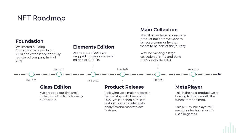# **NFT Roadmap**

### **Foundation**

We started building Soundpickr as a product in 2020 and established as a fully registered company in April 2021

## **Elements Edition**

At the start of 2022 we dropped our second special edition of 30 NFTs

### **Main Collection**

Now that we have proven to be product builders, we want to attract a community that wants to be part of the journey.

We'll be minting a large collection of NFTs and build the Soundpickr DAO.



# **Glass Edition**

We dropped our first small collection of 30 NFTs for early supporters.

### **Product Release**

Following up a major release in partnership with Eurovision 2022, we launched our Beta platform with detailed data analytics and marketplace features.

### **MetaPlayer**

This is the next product we're looking to finance with the funds from the mint.

This NFT music player will revolutionise how music is used in games.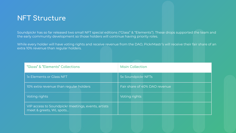# **NFT Structure**

Soundpickr has so far released two small NFT special editions ("Glass" & "Elements"). These drops supported the team and the early community development so those holders will continue having priority roles.

While every holder will have voting rights and receive revenue from the DAO, PickrMastr's will receive their fair share of an extra 10% revenue than regular holders.

| "Glass" & "Elements" Collections                                              | <b>Main Collection</b>        |
|-------------------------------------------------------------------------------|-------------------------------|
| <b>Ix Elements or Glass NFT</b>                                               | 5x Soundpickr NFTs            |
| 10% extra revenue than regular holders                                        | Fair share of 40% DAO revenue |
| Voting rights                                                                 | Voting rights                 |
| VIP access to Soundpickr meetings, events, artists<br>meet & greets, WL spots |                               |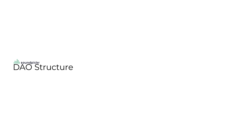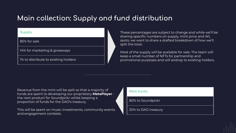# **Main collection: Supply and ÿund distribution**

#### **Supply**

85% for sale

14% for marketing & giveaways

1% to distribute to existing holders

These percentages are subject to change and while we'll be sharing specific numbers on supply, mint price and WL spots, we want to share a drafted breakdown of how we'll split the total.

Most of the supply will be available for sale. The team will keep a small number of NFTs for partnership and promotional purposes and will airdrop to existing holders.

Revenue from the mint will be split so that a majority of funds are spent to developing our proprietary **MetaPlayer** the next product for Soundpickr whilst keeping a proportion of funds for the DAO's treasury.

This will be spent on music investments, community events and engagement contests.

| Mint funds          |
|---------------------|
| 80% to Soundpickr   |
| 20% to DAO treasury |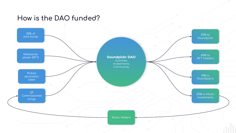# How is the DAO funded?

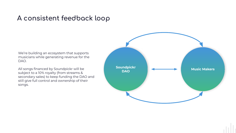# A consistent feedback loop

We're building an ecosystem that supports musicians while generating revenue for the DAO.

All songs financed by Soundpickr will be subject to a 10% royalty (from streams & secondary sales) to keep funding the DAO and still give full control and ownership of their songs.

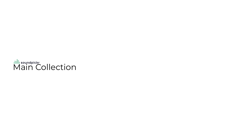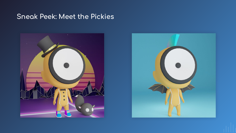# **Sneak Peek: Meet the Pickies**



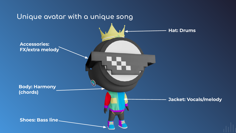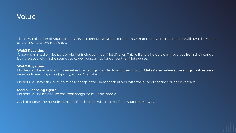

The new collection of Soundpickr NFTs is a generative 3D art collection with generative music. Holders will own the visuals and all rights to the music too.

#### **Web3 Royalties**

All songs minted will be part of playlist included in our MetaPlayer. This will allow holders earn royalties from their songs being played within the soundtracks we'll customise for our partner Metaverses.

#### **Web2 Royalties**

Holders will be able to commercialise their songs in order to add them to our MetaPlayer, release the songs to streaming services to earn royalties (Spotify, Apple, YouTube…).

Holders will have flexibility to release songs either independently or with the support of the Soundpickr team.

#### **Media Licensing rights**

Holders will be able to license their songs for multiple media.

And of course, the most important of all, holders will be part of our Soundpickr DAO.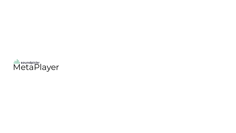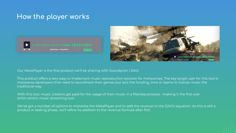# **How the player works**





Our MetaPlayer is the first product we'll be sharing with Soundpickr | DAO.

This product offers a very easy to implement music reproduction solution for metaverses. The key target user for this tool is metaverse developers that need to soundtrack their games but lack the funding, time or teams to license music the traditional way.

With this tool, music creators get paid for the usage of their music in a filterless process - making it the first ever artist-centric music streaming tool.

We've got a number of options to monetise the MetaPlayer and to add the revenue to the DAO's equation. As this is still a product in testing phase, we'll refine its addition to the revenue formula after PoC.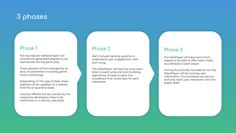# **3 phases**

### **Phase 1**

The Soundpickr editorial team will include pre-generated playlists to be reproduced during game play.

These playlists will be arranged by an array of parameters including genre, mood and energy.

Depending on the type of deal, these playlists will be updated on a weekly, monthly or quarterly basis.

Licenses offered will be covered by the metaverse developers. Fees to be confirmed on a case by case basis.

### **Phase 2**

We'll include tracking systems to understand user engagement with each song.

The MetaPlayer will log how long users listen to each song and start building algorithms of taste to tailor the soundtrack that works best for each metaverse.

### **Phase 3**

The MetPlayer will have learnt from players to be able to offer tailor made soundtracks to each player.

During this process, Soundpickr nor the MetaPlayer will be tracking user information. Our processes are secure and only track user interaction with the player itself.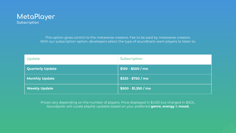

This option gives control to the metaverse creators. Fee to be paid by metaverse creators. With our subscription option, developers select the type of soundtrack want players to listen to.

| Update                  | Subscription         |
|-------------------------|----------------------|
| <b>Quarterly Update</b> | \$150 - \$500 / mo   |
| <b>Monthly Update</b>   | \$320 - \$750 / mo   |
| <b>Weekly Update</b>    | \$500 - \$1,350 / mo |

Prices vary depending on the number of players. Price displayed in \$USD but charged in \$SOL. Soundpickr will curate playlist updates based on your preferred **genre**, **energy** & **mood.**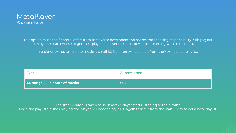

This option takes the financial effort from metaverse developers and shares the licensing responsibility with players. P2E games can choose to get their players to cover the costs of music streaming within the metaverse.

If a player wants to listen to music, a small \$0.8 charge will be taken from their wallets per playlist.

| Туре                                    | Subscription |
|-----------------------------------------|--------------|
| $\vert$ 40 songs (2 - 3 hours of music) | \$0.8        |

The small charge is taken as soon as the player starts listening to the playlist. Once the playlist finishes playing, the player will need to pay \$0.8 again to listen from the start OR to select a new playlist.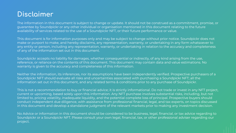# **Disclaimer**

The information in this document is subject to change or update. It should not be construed as a commitment, promise, or guarantee by Soundpickr or any other individual or organisation mentioned in this document relating to the future availability of services related to the use of a Soundpickr NFT, or their future performance or value.

This document is for information purposes only and may be subject to change without prior notice. Soundpickr does not make or purport to make, and hereby disclaims, any representation, warranty, or undertaking in any form whatsoever to any entity or person, including any representation, warranty, or undertaking in relation to the accuracy and completeness of any of the information set out in this document.

Soundpickr accepts no liability for damages, whether consequential or indirectly, of any kind arising from the use, reference, or reliance on the contents of this document. This document may contain data and value estimations. No warranty is given to the accuracy and completeness of this information.

Neither the information, its inferences, nor its assumptions have been independently verified. Prospective purchasers of a Soundpickr NFT should evaluate all risks and uncertainties associated with purchasing a Soundpickr NFT; all the information set out in this document, and any related terms & conditions prior to any purchase of Soundpickr.

This is not a recommendation to buy or financial advice; it is strictly informational. Do not trade or invest in any NFT project, current or upcoming, based solely upon this information. Any NFT purchase involves substantial risks, including, but not limited to, pricing volatility, inadequate liquidity, and the potential complete loss of principal. Prospective buyers should conduct independent due diligence, with assistance from professional financial, legal, and tax experts, on topics discussed in this document and develop a standalone judgment of the relevant markets prior to making any investment decision.

No Advice or information in this document should be considered to be business, legal, financial, or tax advice regarding to Soundpickr or a Soundpickr NFT. Please consult your own legal, financial, tax, or other professional adviser regarding our project.